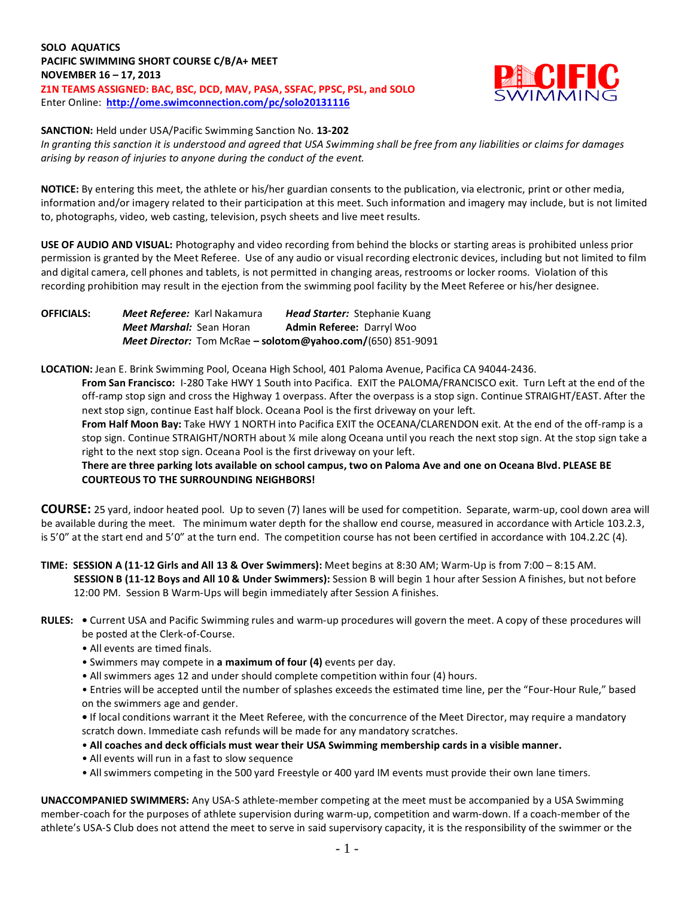**SOLO AQUATICS PACIFIC SWIMMING SHORT COURSE C/B/A+ MEET NOVEMBER 16 – 17, 2013 Z1N TEAMS ASSIGNED: BAC, BSC, DCD, MAV, PASA, SSFAC, PPSC, PSL, and SOLO** Enter Online: **<http://ome.swimconnection.com/pc/solo20131116>**



## **SANCTION:** Held under USA/Pacific Swimming Sanction No. **13-202**

*In granting this sanction it is understood and agreed that USA Swimming shall be free from any liabilities or claims for damages arising by reason of injuries to anyone during the conduct of the event.*

**NOTICE:** By entering this meet, the athlete or his/her guardian consents to the publication, via electronic, print or other media, information and/or imagery related to their participation at this meet. Such information and imagery may include, but is not limited to, photographs, video, web casting, television, psych sheets and live meet results.

**USE OF AUDIO AND VISUAL:** Photography and video recording from behind the blocks or starting areas is prohibited unless prior permission is granted by the Meet Referee. Use of any audio or visual recording electronic devices, including but not limited to film and digital camera, cell phones and tablets, is not permitted in changing areas, restrooms or locker rooms. Violation of this recording prohibition may result in the ejection from the swimming pool facility by the Meet Referee or his/her designee.

**OFFICIALS:** *Meet Referee:* Karl Nakamura *Head Starter:* Stephanie Kuang *Meet Marshal:* Sean Horan **Admin Referee:** Darryl Woo *Meet Director:* Tom McRae **– solotom@yahoo.com/**(650) 851-9091

**LOCATION:** Jean E. Brink Swimming Pool, Oceana High School, 401 Paloma Avenue, Pacifica CA 94044-2436.

**From San Francisco:** I-280 Take HWY 1 South into Pacifica. EXIT the PALOMA/FRANCISCO exit. Turn Left at the end of the off-ramp stop sign and cross the Highway 1 overpass. After the overpass is a stop sign. Continue STRAIGHT/EAST. After the next stop sign, continue East half block. Oceana Pool is the first driveway on your left.

**From Half Moon Bay:** Take HWY 1 NORTH into Pacifica EXIT the OCEANA/CLARENDON exit. At the end of the off-ramp is a stop sign. Continue STRAIGHT/NORTH about ¼ mile along Oceana until you reach the next stop sign. At the stop sign take a right to the next stop sign. Oceana Pool is the first driveway on your left.

**There are three parking lots available on school campus, two on Paloma Ave and one on Oceana Blvd. PLEASE BE COURTEOUS TO THE SURROUNDING NEIGHBORS!**

**COURSE:** 25 yard, indoor heated pool. Up to seven (7) lanes will be used for competition. Separate, warm-up, cool down area will be available during the meet. The minimum water depth for the shallow end course, measured in accordance with Article 103.2.3, is 5'0" at the start end and 5'0" at the turn end. The competition course has not been certified in accordance with 104.2.2C (4).

**TIME: SESSION A (11-12 Girls and All 13 & Over Swimmers):** Meet begins at 8:30 AM; Warm-Up is from 7:00 – 8:15 AM. **SESSION B (11-12 Boys and All 10 & Under Swimmers):** Session B will begin 1 hour after Session A finishes, but not before 12:00 PM. Session B Warm-Ups will begin immediately after Session A finishes.

- **RULES:** Current USA and Pacific Swimming rules and warm-up procedures will govern the meet. A copy of these procedures will be posted at the Clerk-of-Course.
	- All events are timed finals.
	- Swimmers may compete in **a maximum of four (4)** events per day.
	- All swimmers ages 12 and under should complete competition within four (4) hours.

• Entries will be accepted until the number of splashes exceeds the estimated time line, per the "Four-Hour Rule," based on the swimmers age and gender.

**•** If local conditions warrant it the Meet Referee, with the concurrence of the Meet Director, may require a mandatory scratch down. Immediate cash refunds will be made for any mandatory scratches.

- **All coaches and deck officials must wear their USA Swimming membership cards in a visible manner.**
- All events will run in a fast to slow sequence
- All swimmers competing in the 500 yard Freestyle or 400 yard IM events must provide their own lane timers.

**UNACCOMPANIED SWIMMERS:** Any USA-S athlete-member competing at the meet must be accompanied by a USA Swimming member-coach for the purposes of athlete supervision during warm-up, competition and warm-down. If a coach-member of the athlete's USA-S Club does not attend the meet to serve in said supervisory capacity, it is the responsibility of the swimmer or the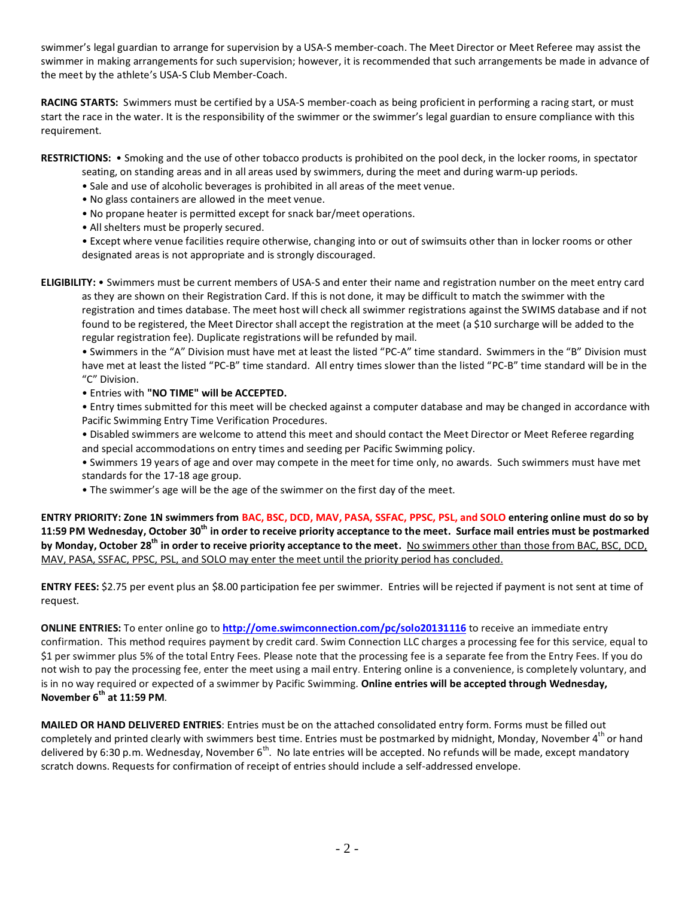swimmer's legal guardian to arrange for supervision by a USA-S member-coach. The Meet Director or Meet Referee may assist the swimmer in making arrangements for such supervision; however, it is recommended that such arrangements be made in advance of the meet by the athlete's USA-S Club Member-Coach.

**RACING STARTS:** Swimmers must be certified by a USA-S member-coach as being proficient in performing a racing start, or must start the race in the water. It is the responsibility of the swimmer or the swimmer's legal guardian to ensure compliance with this requirement.

**RESTRICTIONS:** • Smoking and the use of other tobacco products is prohibited on the pool deck, in the locker rooms, in spectator

- seating, on standing areas and in all areas used by swimmers, during the meet and during warm-up periods.
- Sale and use of alcoholic beverages is prohibited in all areas of the meet venue.
- No glass containers are allowed in the meet venue.
- No propane heater is permitted except for snack bar/meet operations.
- All shelters must be properly secured.

• Except where venue facilities require otherwise, changing into or out of swimsuits other than in locker rooms or other designated areas is not appropriate and is strongly discouraged.

**ELIGIBILITY:** • Swimmers must be current members of USA-S and enter their name and registration number on the meet entry card as they are shown on their Registration Card. If this is not done, it may be difficult to match the swimmer with the registration and times database. The meet host will check all swimmer registrations against the SWIMS database and if not found to be registered, the Meet Director shall accept the registration at the meet (a \$10 surcharge will be added to the regular registration fee). Duplicate registrations will be refunded by mail.

• Swimmers in the "A" Division must have met at least the listed "PC-A" time standard. Swimmers in the "B" Division must have met at least the listed "PC-B" time standard. All entry times slower than the listed "PC-B" time standard will be in the "C" Division.

• Entries with **"NO TIME" will be ACCEPTED.**

• Entry times submitted for this meet will be checked against a computer database and may be changed in accordance with Pacific Swimming Entry Time Verification Procedures.

• Disabled swimmers are welcome to attend this meet and should contact the Meet Director or Meet Referee regarding and special accommodations on entry times and seeding per Pacific Swimming policy.

• Swimmers 19 years of age and over may compete in the meet for time only, no awards. Such swimmers must have met standards for the 17-18 age group.

• The swimmer's age will be the age of the swimmer on the first day of the meet.

**ENTRY PRIORITY: Zone 1N swimmers from BAC, BSC, DCD, MAV, PASA, SSFAC, PPSC, PSL, and SOLO entering online must do so by 11:59 PM Wednesday, October 30th in order to receive priority acceptance to the meet. Surface mail entries must be postmarked by Monday, October 28th in order to receive priority acceptance to the meet.** No swimmers other than those from BAC, BSC, DCD, MAV, PASA, SSFAC, PPSC, PSL, and SOLO may enter the meet until the priority period has concluded.

**ENTRY FEES:** \$2.75 per event plus an \$8.00 participation fee per swimmer. Entries will be rejected if payment is not sent at time of request.

**ONLINE ENTRIES:** To enter online go to **<http://ome.swimconnection.com/pc/solo20131116>** to receive an immediate entry confirmation. This method requires payment by credit card. Swim Connection LLC charges a processing fee for this service, equal to \$1 per swimmer plus 5% of the total Entry Fees. Please note that the processing fee is a separate fee from the Entry Fees. If you do not wish to pay the processing fee, enter the meet using a mail entry. Entering online is a convenience, is completely voluntary, and is in no way required or expected of a swimmer by Pacific Swimming. **Online entries will be accepted through Wednesday, November 6th at 11:59 PM**.

**MAILED OR HAND DELIVERED ENTRIES**: Entries must be on the attached consolidated entry form. Forms must be filled out completely and printed clearly with swimmers best time. Entries must be postmarked by midnight, Monday, November 4th or hand delivered by 6:30 p.m. Wednesday, November  $6^{th}$ . No late entries will be accepted. No refunds will be made, except mandatory scratch downs. Requests for confirmation of receipt of entries should include a self-addressed envelope.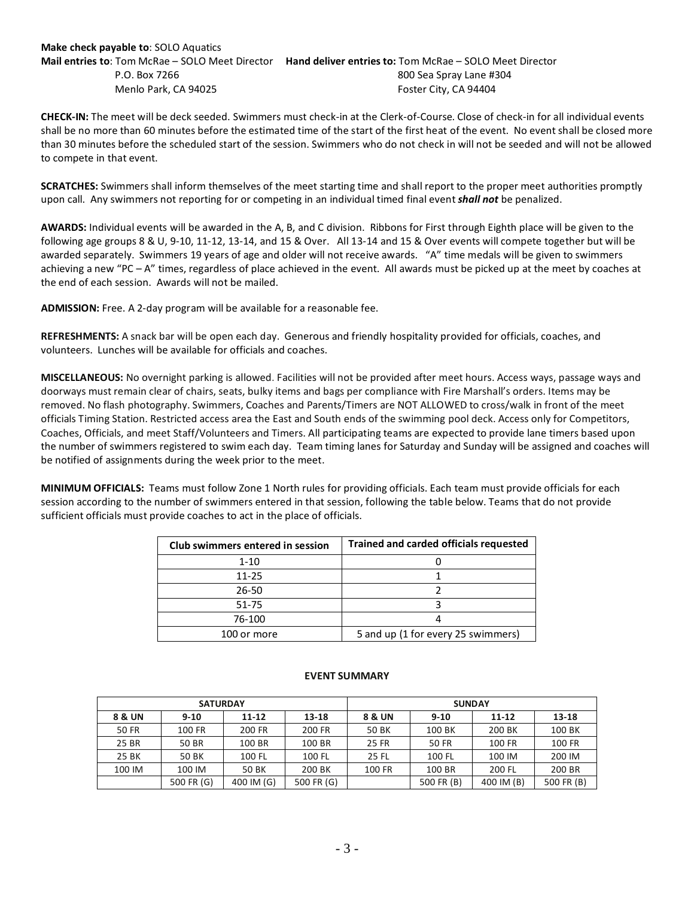## **Make check payable to**: SOLO Aquatics **Mail entries to**: Tom McRae – SOLO Meet Director **Hand deliver entries to:** Tom McRae – SOLO Meet Director P.O. Box 7266 800 Sea Spray Lane #304 Menlo Park, CA 94025 **Foster City, CA 94404**

**CHECK-IN:** The meet will be deck seeded. Swimmers must check-in at the Clerk-of-Course. Close of check-in for all individual events shall be no more than 60 minutes before the estimated time of the start of the first heat of the event. No event shall be closed more than 30 minutes before the scheduled start of the session. Swimmers who do not check in will not be seeded and will not be allowed to compete in that event.

**SCRATCHES:** Swimmers shall inform themselves of the meet starting time and shall report to the proper meet authorities promptly upon call. Any swimmers not reporting for or competing in an individual timed final event *shall not* be penalized.

**AWARDS:** Individual events will be awarded in the A, B, and C division. Ribbons for First through Eighth place will be given to the following age groups 8 & U, 9-10, 11-12, 13-14, and 15 & Over. All 13-14 and 15 & Over events will compete together but will be awarded separately. Swimmers 19 years of age and older will not receive awards. "A" time medals will be given to swimmers achieving a new "PC – A" times, regardless of place achieved in the event. All awards must be picked up at the meet by coaches at the end of each session. Awards will not be mailed.

**ADMISSION:** Free. A 2-day program will be available for a reasonable fee.

**REFRESHMENTS:** A snack bar will be open each day. Generous and friendly hospitality provided for officials, coaches, and volunteers. Lunches will be available for officials and coaches.

**MISCELLANEOUS:** No overnight parking is allowed. Facilities will not be provided after meet hours. Access ways, passage ways and doorways must remain clear of chairs, seats, bulky items and bags per compliance with Fire Marshall's orders. Items may be removed. No flash photography. Swimmers, Coaches and Parents/Timers are NOT ALLOWED to cross/walk in front of the meet officials Timing Station. Restricted access area the East and South ends of the swimming pool deck. Access only for Competitors, Coaches, Officials, and meet Staff/Volunteers and Timers. All participating teams are expected to provide lane timers based upon the number of swimmers registered to swim each day. Team timing lanes for Saturday and Sunday will be assigned and coaches will be notified of assignments during the week prior to the meet.

**MINIMUM OFFICIALS:** Teams must follow Zone 1 North rules for providing officials. Each team must provide officials for each session according to the number of swimmers entered in that session, following the table below. Teams that do not provide sufficient officials must provide coaches to act in the place of officials.

| Club swimmers entered in session | <b>Trained and carded officials requested</b> |  |  |  |  |  |
|----------------------------------|-----------------------------------------------|--|--|--|--|--|
| $1 - 10$                         |                                               |  |  |  |  |  |
| $11 - 25$                        |                                               |  |  |  |  |  |
| 26-50                            |                                               |  |  |  |  |  |
| 51-75                            |                                               |  |  |  |  |  |
| 76-100                           |                                               |  |  |  |  |  |
| 100 or more                      | 5 and up (1 for every 25 swimmers)            |  |  |  |  |  |

|                 |            |            | <b>EVENT SUMMARY</b> |               |            |            |            |  |  |  |
|-----------------|------------|------------|----------------------|---------------|------------|------------|------------|--|--|--|
| <b>SATURDAY</b> |            |            |                      | <b>SUNDAY</b> |            |            |            |  |  |  |
| 8 & UN          | $9 - 10$   | $11 - 12$  | $13 - 18$            | 8 & UN        | $9 - 10$   | $11 - 12$  | 13-18      |  |  |  |
| <b>50 FR</b>    | 100 FR     | 200 FR     | 200 FR               | 50 BK         | 100 BK     | 200 BK     | 100 BK     |  |  |  |
| 25 BR           | 50 BR      | 100 BR     | 100 BR               | 25 FR         | 50 FR      | 100 FR     | 100 FR     |  |  |  |
| 25 BK           | 50 BK      | 100 FL     | 100 FL               | 25 FL         | 100 FL     | 100 IM     | 200 IM     |  |  |  |
| 100 IM          | 100 IM     | 50 BK      | 200 BK               | 100 FR        | 100 BR     | 200 FL     | 200 BR     |  |  |  |
|                 | 500 FR (G) | 400 IM (G) | 500 FR (G)           |               | 500 FR (B) | 400 IM (B) | 500 FR (B) |  |  |  |

## **EVENT SUMMARY**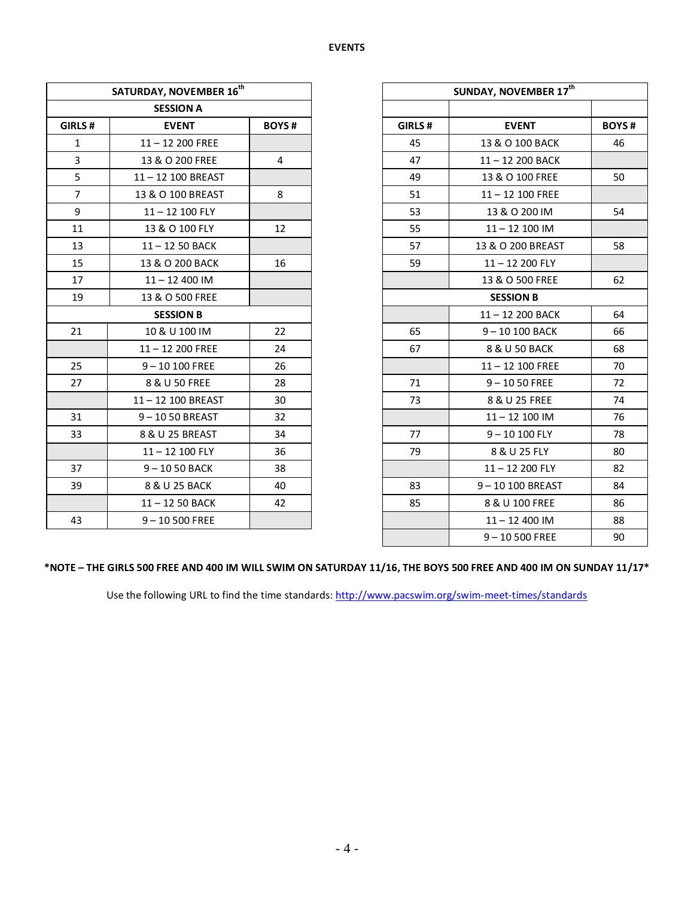|                | SATURDAY, NOVEMBER 16 <sup>th</sup> |                |        | SUNDAY, NOVEMBER 17th |  |  |
|----------------|-------------------------------------|----------------|--------|-----------------------|--|--|
|                | <b>SESSION A</b>                    |                |        |                       |  |  |
| <b>GIRLS#</b>  | <b>EVENT</b>                        | <b>BOYS#</b>   | GIRLS# | <b>EVENT</b>          |  |  |
| $\mathbf{1}$   | $11 - 12200$ FREE                   |                | 45     | 13 & O 100 BACK       |  |  |
| $\overline{3}$ | 13 & O 200 FREE                     | $\overline{4}$ | 47     | 11-12 200 BACK        |  |  |
| 5              | 11-12 100 BREAST                    |                | 49     | 13 & O 100 FREE       |  |  |
| $\overline{7}$ | 13 & O 100 BREAST                   | 8              | 51     | $11 - 12$ 100 FREE    |  |  |
| 9              | 11-12 100 FLY                       |                | 53     | 13 & O 200 IM         |  |  |
| 11             | 13 & O 100 FLY                      | 12             | 55     | $11 - 12$ 100 IM      |  |  |
| 13             | 11-12 50 BACK                       |                | 57     | 13 & O 200 BREAST     |  |  |
| 15             | 13 & O 200 BACK                     | 16             | 59     | 11-12 200 FLY         |  |  |
| 17             | $11 - 12$ 400 IM                    |                |        | 13 & O 500 FREE       |  |  |
| 19             | 13 & O 500 FREE                     |                |        | <b>SESSION B</b>      |  |  |
|                | <b>SESSION B</b>                    |                |        | 11-12 200 BACK        |  |  |
| 21             | 10 & U 100 IM                       | 22             | 65     | 9-10 100 BACK         |  |  |
|                | $11 - 12$ 200 FREE                  | 24             | 67     | 8 & U 50 BACK         |  |  |
| 25             | $9 - 10100$ FREE                    | 26             |        | $11 - 12$ 100 FREE    |  |  |
| 27             | 8 & U 50 FREE                       | 28             | 71     | $9 - 1050$ FREE       |  |  |
|                | 11-12 100 BREAST                    | 30             | 73     | 8 & U 25 FREE         |  |  |
| 31             | 9-1050 BREAST                       | 32             |        | $11 - 12$ 100 IM      |  |  |
| 33             | 8 & U 25 BREAST                     | 34             | 77     | $9 - 10100$ FLY       |  |  |
|                | 11-12 100 FLY                       | 36             | 79     | 8 & U 25 FLY          |  |  |
| 37             | 9-1050 BACK                         | 38             |        | 11-12 200 FLY         |  |  |
| 39             | 8 & U 25 BACK                       | 40             | 83     | 9-10 100 BREAST       |  |  |
|                | 11-12 50 BACK                       | 42             | 85     | 8 & U 100 FREE        |  |  |
| 43             | $9 - 10500$ FREE                    |                |        | $11 - 12$ 400 IM      |  |  |
|                |                                     |                |        | $9 - 10500$ FREE      |  |  |

## **\*NOTE – THE GIRLS 500 FREE AND 400 IM WILL SWIM ON SATURDAY 11/16, THE BOYS 500 FREE AND 400 IM ON SUNDAY 11/17\***

Use the following URL to find the time standards:<http://www.pacswim.org/swim-meet-times/standards>